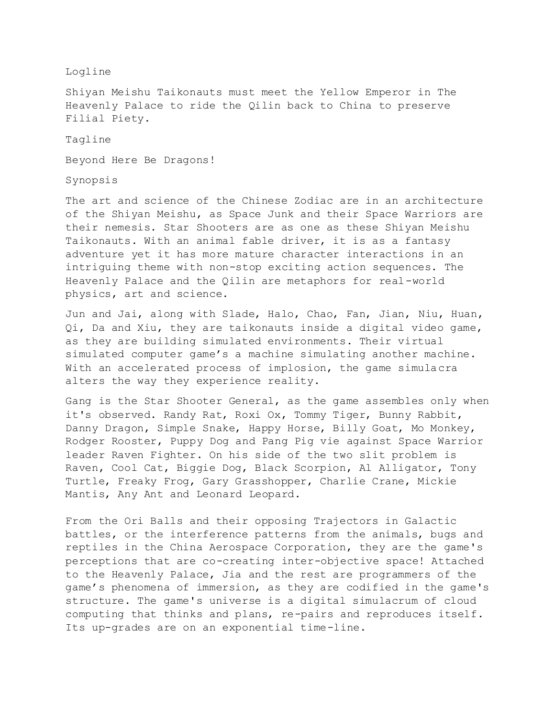## Logline

Shiyan Meishu Taikonauts must meet the Yellow Emperor in The Heavenly Palace to ride the Qilin back to China to preserve Filial Piety.

Tagline

Beyond Here Be Dragons!

Synopsis

The art and science of the Chinese Zodiac are in an architecture of the Shiyan Meishu, as Space Junk and their Space Warriors are their nemesis. Star Shooters are as one as these Shiyan Meishu Taikonauts. With an animal fable driver, it is as a fantasy adventure yet it has more mature character interactions in an intriguing theme with non-stop exciting action sequences. The Heavenly Palace and the Qilin are metaphors for real-world physics, art and science.

Jun and Jai, along with Slade, Halo, Chao, Fan, Jian, Niu, Huan, Qi, Da and Xiu, they are taikonauts inside a digital video game, as they are building simulated environments. Their virtual simulated computer game's a machine simulating another machine. With an accelerated process of implosion, the game simulacra alters the way they experience reality.

Gang is the Star Shooter General, as the game assembles only when it's observed. Randy Rat, Roxi Ox, Tommy Tiger, Bunny Rabbit, Danny Dragon, Simple Snake, Happy Horse, Billy Goat, Mo Monkey, Rodger Rooster, Puppy Dog and Pang Pig vie against Space Warrior leader Raven Fighter. On his side of the two slit problem is Raven, Cool Cat, Biggie Dog, Black Scorpion, Al Alligator, Tony Turtle, Freaky Frog, Gary Grasshopper, Charlie Crane, Mickie Mantis, Any Ant and Leonard Leopard.

From the Ori Balls and their opposing Trajectors in Galactic battles, or the interference patterns from the animals, bugs and reptiles in the China Aerospace Corporation, they are the game's perceptions that are co-creating inter-objective space! Attached to the Heavenly Palace, Jia and the rest are programmers of the game's phenomena of immersion, as they are codified in the game's structure. The game's universe is a digital simulacrum of cloud computing that thinks and plans, re-pairs and reproduces itself. Its up-grades are on an exponential time-line.